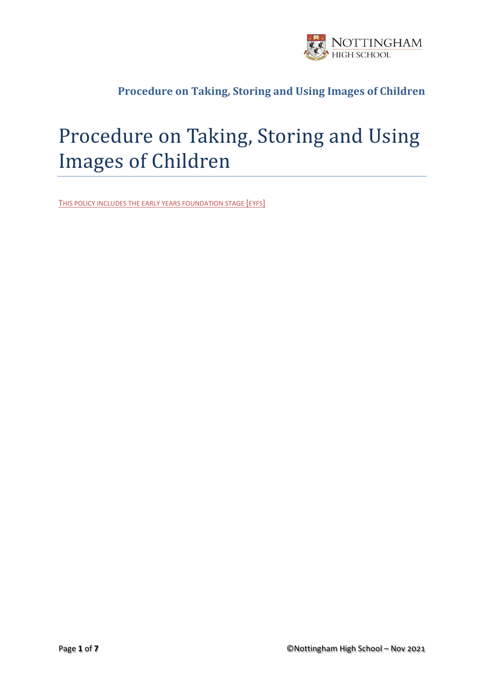

# Procedure on Taking, Storing and Using Images of Children

THIS POLICY INCLUDES THE EARLY YEARS FOUNDATION STAGE [EYFS]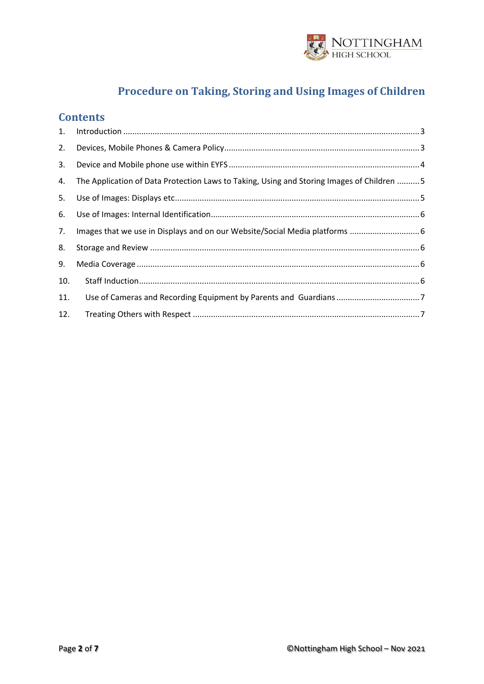

#### **Contents**

| 1.  |                                                                                            |
|-----|--------------------------------------------------------------------------------------------|
| 2.  |                                                                                            |
| 3.  |                                                                                            |
| 4.  | The Application of Data Protection Laws to Taking, Using and Storing Images of Children  5 |
| 5.  |                                                                                            |
| 6.  |                                                                                            |
| 7.  | Images that we use in Displays and on our Website/Social Media platforms  6                |
| 8.  |                                                                                            |
| 9.  |                                                                                            |
| 10. |                                                                                            |
| 11. |                                                                                            |
| 12. |                                                                                            |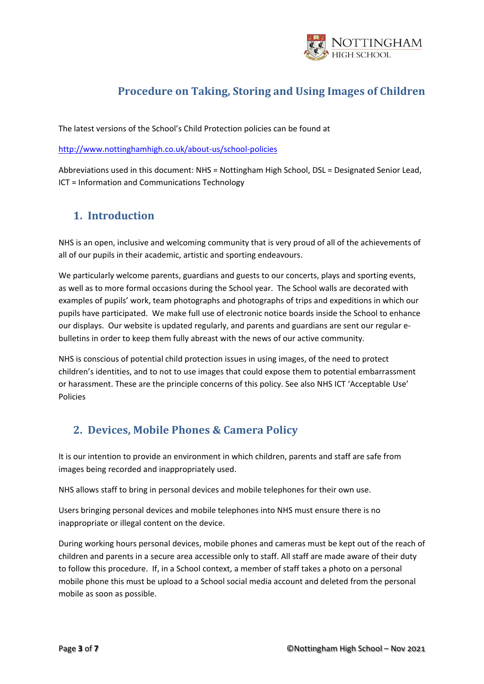

The latest versions of the School's Child Protection policies can be found at

<http://www.nottinghamhigh.co.uk/about-us/school-policies>

Abbreviations used in this document: NHS = Nottingham High School, DSL = Designated Senior Lead, ICT = Information and Communications Technology

#### <span id="page-2-0"></span>**1. Introduction**

NHS is an open, inclusive and welcoming community that is very proud of all of the achievements of all of our pupils in their academic, artistic and sporting endeavours.

We particularly welcome parents, guardians and guests to our concerts, plays and sporting events, as well as to more formal occasions during the School year. The School walls are decorated with examples of pupils' work, team photographs and photographs of trips and expeditions in which our pupils have participated. We make full use of electronic notice boards inside the School to enhance our displays. Our website is updated regularly, and parents and guardians are sent our regular ebulletins in order to keep them fully abreast with the news of our active community.

NHS is conscious of potential child protection issues in using images, of the need to protect children's identities, and to not to use images that could expose them to potential embarrassment or harassment. These are the principle concerns of this policy. See also NHS ICT 'Acceptable Use' Policies

## <span id="page-2-1"></span>**2. Devices, Mobile Phones & Camera Policy**

It is our intention to provide an environment in which children, parents and staff are safe from images being recorded and inappropriately used.

NHS allows staff to bring in personal devices and mobile telephones for their own use.

Users bringing personal devices and mobile telephones into NHS must ensure there is no inappropriate or illegal content on the device.

During working hours personal devices, mobile phones and cameras must be kept out of the reach of children and parents in a secure area accessible only to staff. All staff are made aware of their duty to follow this procedure. If, in a School context, a member of staff takes a photo on a personal mobile phone this must be upload to a School social media account and deleted from the personal mobile as soon as possible.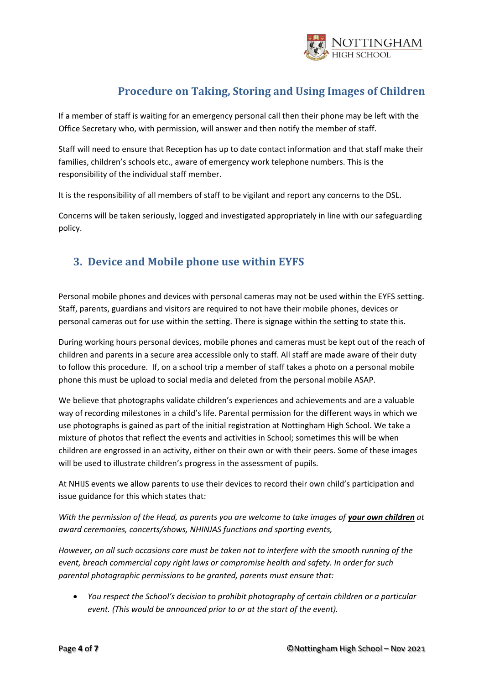

If a member of staff is waiting for an emergency personal call then their phone may be left with the Office Secretary who, with permission, will answer and then notify the member of staff.

Staff will need to ensure that Reception has up to date contact information and that staff make their families, children's schools etc., aware of emergency work telephone numbers. This is the responsibility of the individual staff member.

It is the responsibility of all members of staff to be vigilant and report any concerns to the DSL.

Concerns will be taken seriously, logged and investigated appropriately in line with our safeguarding policy.

#### <span id="page-3-0"></span>**3. Device and Mobile phone use within EYFS**

Personal mobile phones and devices with personal cameras may not be used within the EYFS setting. Staff, parents, guardians and visitors are required to not have their mobile phones, devices or personal cameras out for use within the setting. There is signage within the setting to state this.

During working hours personal devices, mobile phones and cameras must be kept out of the reach of children and parents in a secure area accessible only to staff. All staff are made aware of their duty to follow this procedure. If, on a school trip a member of staff takes a photo on a personal mobile phone this must be upload to social media and deleted from the personal mobile ASAP.

We believe that photographs validate children's experiences and achievements and are a valuable way of recording milestones in a child's life. Parental permission for the different ways in which we use photographs is gained as part of the initial registration at Nottingham High School. We take a mixture of photos that reflect the events and activities in School; sometimes this will be when children are engrossed in an activity, either on their own or with their peers. Some of these images will be used to illustrate children's progress in the assessment of pupils.

At NHIJS events we allow parents to use their devices to record their own child's participation and issue guidance for this which states that:

*With the permission of the Head, as parents you are welcome to take images of your own children at award ceremonies, concerts/shows, NHINJAS functions and sporting events,* 

*However, on all such occasions care must be taken not to interfere with the smooth running of the event, breach commercial copy right laws or compromise health and safety. In order for such parental photographic permissions to be granted, parents must ensure that:*

• *You respect the School's decision to prohibit photography of certain children or a particular event. (This would be announced prior to or at the start of the event).*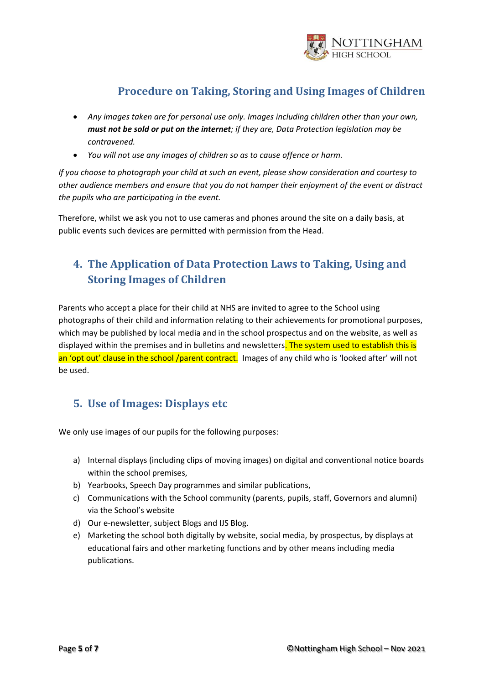

- *Any images taken are for personal use only. Images including children other than your own, must not be sold or put on the internet; if they are, Data Protection legislation may be contravened.*
- *You will not use any images of children so as to cause offence or harm.*

*If you choose to photograph your child at such an event, please show consideration and courtesy to other audience members and ensure that you do not hamper their enjoyment of the event or distract the pupils who are participating in the event.* 

Therefore, whilst we ask you not to use cameras and phones around the site on a daily basis, at public events such devices are permitted with permission from the Head.

## <span id="page-4-0"></span>**4. The Application of Data Protection Laws to Taking, Using and Storing Images of Children**

Parents who accept a place for their child at NHS are invited to agree to the School using photographs of their child and information relating to their achievements for promotional purposes, which may be published by local media and in the school prospectus and on the website, as well as displayed within the premises and in bulletins and newsletters. The system used to establish this is an 'opt out' clause in the school /parent contract. Images of any child who is 'looked after' will not be used.

#### <span id="page-4-1"></span>**5. Use of Images: Displays etc**

We only use images of our pupils for the following purposes:

- a) Internal displays (including clips of moving images) on digital and conventional notice boards within the school premises,
- b) Yearbooks, Speech Day programmes and similar publications,
- c) Communications with the School community (parents, pupils, staff, Governors and alumni) via the School's website
- d) Our e-newsletter, subject Blogs and IJS Blog.
- e) Marketing the school both digitally by website, social media, by prospectus, by displays at educational fairs and other marketing functions and by other means including media publications.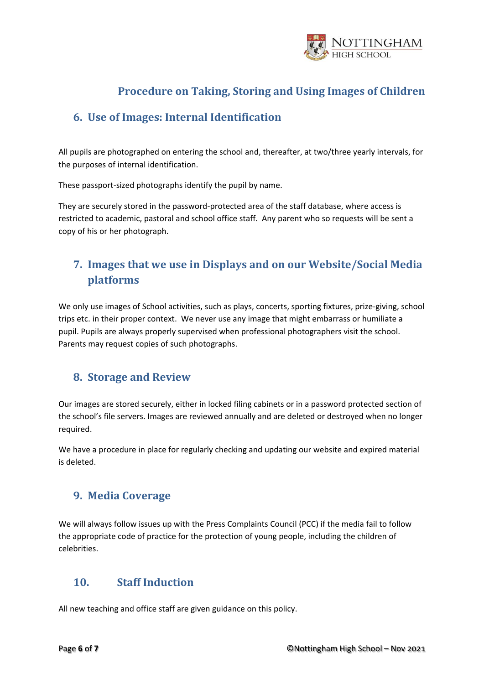

#### <span id="page-5-0"></span>**6. Use of Images: Internal Identification**

All pupils are photographed on entering the school and, thereafter, at two/three yearly intervals, for the purposes of internal identification.

These passport-sized photographs identify the pupil by name.

They are securely stored in the password-protected area of the staff database, where access is restricted to academic, pastoral and school office staff. Any parent who so requests will be sent a copy of his or her photograph.

# <span id="page-5-1"></span>**7. Images that we use in Displays and on our Website/Social Media platforms**

We only use images of School activities, such as plays, concerts, sporting fixtures, prize-giving, school trips etc. in their proper context. We never use any image that might embarrass or humiliate a pupil. Pupils are always properly supervised when professional photographers visit the school. Parents may request copies of such photographs.

#### <span id="page-5-2"></span>**8. Storage and Review**

Our images are stored securely, either in locked filing cabinets or in a password protected section of the school's file servers. Images are reviewed annually and are deleted or destroyed when no longer required.

We have a procedure in place for regularly checking and updating our website and expired material is deleted.

#### <span id="page-5-3"></span>**9. Media Coverage**

We will always follow issues up with the Press Complaints Council (PCC) if the media fail to follow the appropriate code of practice for the protection of young people, including the children of celebrities.

#### <span id="page-5-4"></span>**10. Staff Induction**

All new teaching and office staff are given guidance on this policy.